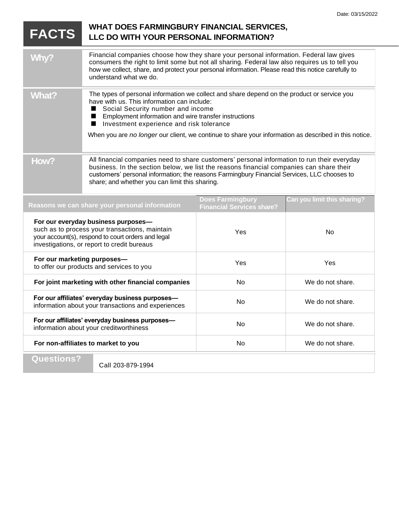## **FACTS** WHAT DOES FARMINGBURY FINANCIAL SERVICES, **LLC DO WITH YOUR PERSONAL INFORMATION?** Why? Financial companies choose how they share your personal information. Federal law gives consumers the right to limit some but not all sharing. Federal law also requires us to tell you how we collect, share, and protect your personal information. Please read this notice carefully to understand what we do. What? The types of personal information we collect and share depend on the product or service you have with us. This information can include: Social Security number and income п Employment information and wire transfer instructions ■ Investment experience and risk tolerance ■ When you are *no longer* our client, we continue to share your information as described in this notice. How? All financial companies need to share customers' personal information to run their everyday business. In the section below, we list the reasons financial companies can share their customers' personal information; the reasons Farmingbury Financial Services, LLC chooses to share; and whether you can limit this sharing.**Does Farmingbury Can you limit this sharing? Reasons we can share your personal information Financial Services share? For our everyday business purposes** such as to process your transactions, maintain Yes No your account(s), respond to court orders and legal investigations, or report to credit bureaus **For our marketing purposes—** Yes Yes to offer our products and services to you **For joint marketing with other financial companies** No No We do not share. **For our affiliates' everyday business purposes—** For our anniques everyday business purposes—<br>information about your transactions and experiences No No We do not share. **For our affiliates' everyday business purposes—** For our anniques everyday business purposes—<br>information about your creditworthiness  $\blacksquare$  No No We do not share. **For non-affiliates to market to you No** No We do not share. **Questions?**

Call 203-879-1994